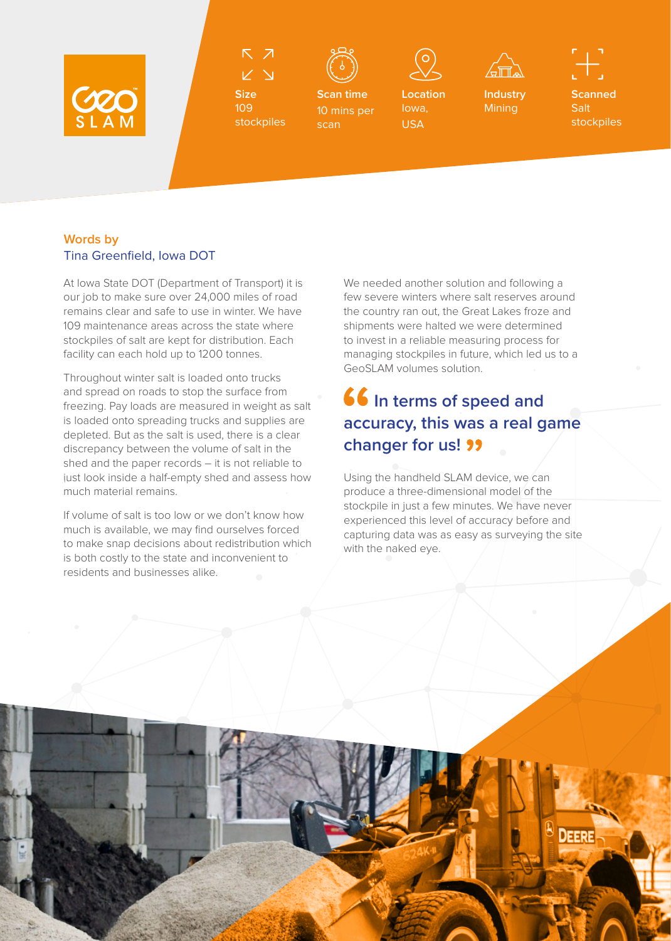



**Size** 109 stockpiles



**Scan time** 10 mins per scan



**Location**  Iowa, USA



**Industry Mining** 

**Scanned** Salt stockpiles

## **Words by**  Tina Greenfield, Iowa DOT

At Iowa State DOT (Department of Transport) it is our job to make sure over 24,000 miles of road remains clear and safe to use in winter. We have 109 maintenance areas across the state where stockpiles of salt are kept for distribution. Each facility can each hold up to 1200 tonnes.

Throughout winter salt is loaded onto trucks and spread on roads to stop the surface from freezing. Pay loads are measured in weight as salt is loaded onto spreading trucks and supplies are depleted. But as the salt is used, there is a clear discrepancy between the volume of salt in the shed and the paper records – it is not reliable to just look inside a half-empty shed and assess how much material remains.

If volume of salt is too low or we don't know how much is available, we may find ourselves forced to make snap decisions about redistribution which is both costly to the state and inconvenient to residents and businesses alike.

We needed another solution and following a few severe winters where salt reserves around the country ran out, the Great Lakes froze and shipments were halted we were determined to invest in a reliable measuring process for managing stockpiles in future, which led us to a GeoSLAM volumes solution.

## **16** In terms of speed and **accuracy, this was a real game changer for us!**

Using the handheld SLAM device, we can produce a three-dimensional model of the stockpile in just a few minutes. We have never experienced this level of accuracy before and capturing data was as easy as surveying the site with the naked eye.